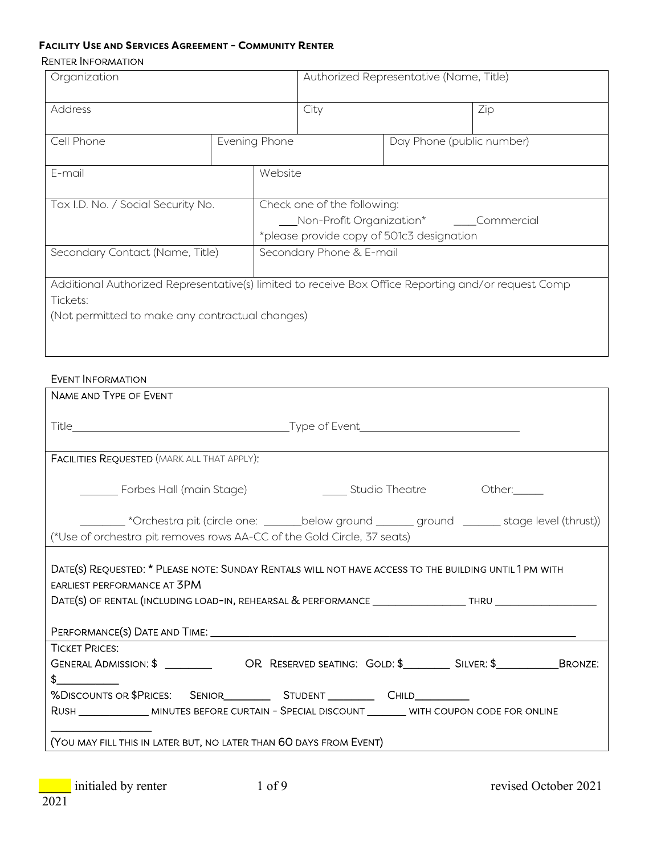#### **FACILITY USE AND SERVICES AGREEMENT - COMMUNITY RENTER** RENTER INFORMATION

| Organization                                                                                        |  | Authorized Representative (Name, Title)   |  |                           |  |  |
|-----------------------------------------------------------------------------------------------------|--|-------------------------------------------|--|---------------------------|--|--|
| <b>Address</b>                                                                                      |  | City                                      |  | Zip                       |  |  |
| Cell Phone                                                                                          |  | Evening Phone                             |  | Day Phone (public number) |  |  |
| E-mail                                                                                              |  | Website                                   |  |                           |  |  |
| Tax I.D. No. / Social Security No.                                                                  |  | Check one of the following:               |  |                           |  |  |
|                                                                                                     |  | Non-Profit Organization* Commercial       |  |                           |  |  |
|                                                                                                     |  | *please provide copy of 501c3 designation |  |                           |  |  |
| Secondary Contact (Name, Title)                                                                     |  | Secondary Phone & E-mail                  |  |                           |  |  |
| Additional Authorized Representative(s) limited to receive Box Office Reporting and/or request Comp |  |                                           |  |                           |  |  |
| Tickets:                                                                                            |  |                                           |  |                           |  |  |
| (Not permitted to make any contractual changes)                                                     |  |                                           |  |                           |  |  |
|                                                                                                     |  |                                           |  |                           |  |  |

#### EVENT INFORMATION

| NAME AND TYPE OF EVENT                                                                                                                                                                                                                                        |  |  |  |  |  |  |
|---------------------------------------------------------------------------------------------------------------------------------------------------------------------------------------------------------------------------------------------------------------|--|--|--|--|--|--|
|                                                                                                                                                                                                                                                               |  |  |  |  |  |  |
| <b>FACILITIES REQUESTED (MARK ALL THAT APPLY):</b>                                                                                                                                                                                                            |  |  |  |  |  |  |
| _________ Forbes Hall (main Stage)<br><u>Community Studio Theatre</u> Characters Cherdinal Chertain Chertain Chertain Chertain Chertain Chertain Chertain Cher                                                                                                |  |  |  |  |  |  |
| ________ *Orchestra pit (circle one: _______below ground ______ ground _______ stage level (thrust))<br>(*Use of orchestra pit removes rows AA-CC of the Gold Circle, 37 seats)                                                                               |  |  |  |  |  |  |
| DATE(S) REQUESTED: * PLEASE NOTE: SUNDAY RENTALS WILL NOT HAVE ACCESS TO THE BUILDING UNTIL 1 PM WITH<br><b>EARLIEST PERFORMANCE AT 3PM</b><br>DATE(S) OF RENTAL (INCLUDING LOAD-IN, REHEARSAL & PERFORMANCE __________________THRU ______________            |  |  |  |  |  |  |
| <b>TICKET PRICES:</b><br>GENERAL ADMISSION: \$ ___________ OR RESERVED SEATING: GOLD: \$____________ SILVER: \$________________BRONZE:<br>$\frac{1}{2}$<br>RUSH ______________ MINUTES BEFORE CURTAIN - SPECIAL DISCOUNT ________ WITH COUPON CODE FOR ONLINE |  |  |  |  |  |  |
| (YOU MAY FILL THIS IN LATER BUT, NO LATER THAN 60 DAYS FROM EVENT)                                                                                                                                                                                            |  |  |  |  |  |  |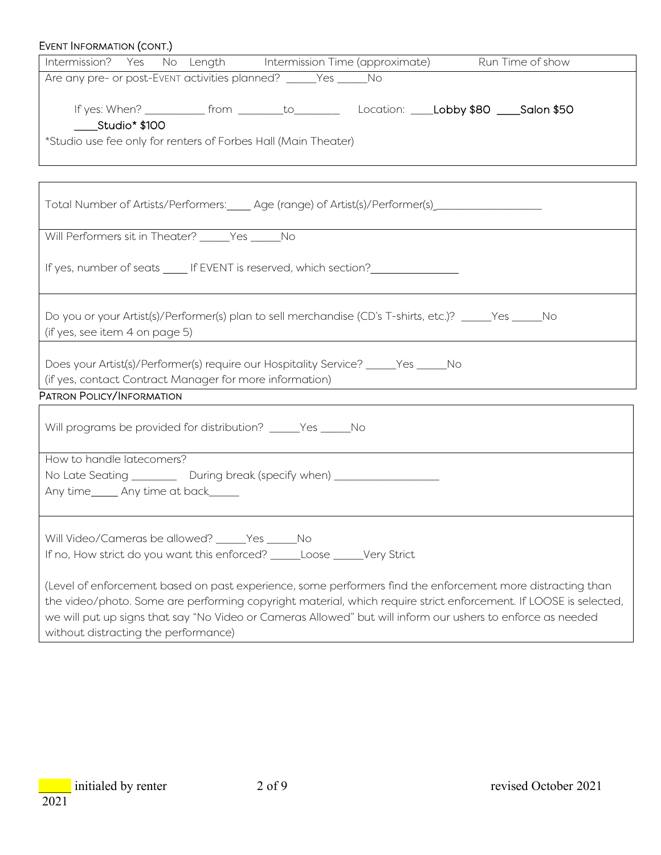| EVENT INFORMATION (CONT.)                                                                                                                                                                                                                                                                                                                     |
|-----------------------------------------------------------------------------------------------------------------------------------------------------------------------------------------------------------------------------------------------------------------------------------------------------------------------------------------------|
| Intermission? Yes No Length Intermission Time (approximate) Run Time of show                                                                                                                                                                                                                                                                  |
| Are any pre- or post-Event activities planned? _____Yes _____No                                                                                                                                                                                                                                                                               |
| If yes: When? _____________ from __________to______________Location: _____Lobby \$80 ____Salon \$50<br>Studio* \$100<br>*Studio use fee only for renters of Forbes Hall (Main Theater)                                                                                                                                                        |
|                                                                                                                                                                                                                                                                                                                                               |
|                                                                                                                                                                                                                                                                                                                                               |
| Total Number of Artists/Performers:_____ Age (range) of Artist(s)/Performer(s)_____________________                                                                                                                                                                                                                                           |
| Will Performers sit in Theater? _____Yes _____No                                                                                                                                                                                                                                                                                              |
| If yes, number of seats _____ If EVENT is reserved, which section?______________                                                                                                                                                                                                                                                              |
| Do you or your Artist(s)/Performer(s) plan to sell merchandise (CD's T-shirts, etc.)? _____Yes _____No<br>(if yes, see item 4 on page 5)                                                                                                                                                                                                      |
| Does your Artist(s)/Performer(s) require our Hospitality Service? _____Yes _____No<br>(if yes, contact Contract Manager for more information)                                                                                                                                                                                                 |
| PATRON POLICY/INFORMATION                                                                                                                                                                                                                                                                                                                     |
| Will programs be provided for distribution? _____Yes _____No                                                                                                                                                                                                                                                                                  |
| How to handle latecomers?                                                                                                                                                                                                                                                                                                                     |
| No Late Seating __________ During break (specify when) ___________________                                                                                                                                                                                                                                                                    |
| Any time______ Any time at back______                                                                                                                                                                                                                                                                                                         |
| Will Video/Cameras be allowed? _____Yes _____No<br>If no, How strict do you want this enforced? ______ Loose _____Very Strict                                                                                                                                                                                                                 |
| (Level of enforcement based on past experience, some performers find the enforcement more distracting than<br>the video/photo. Some are performing copyright material, which require strict enforcement. If LOOSE is selected,<br>we will put up signs that say "No Video or Cameras Allowed" but will inform our ushers to enforce as needed |

without distracting the performance)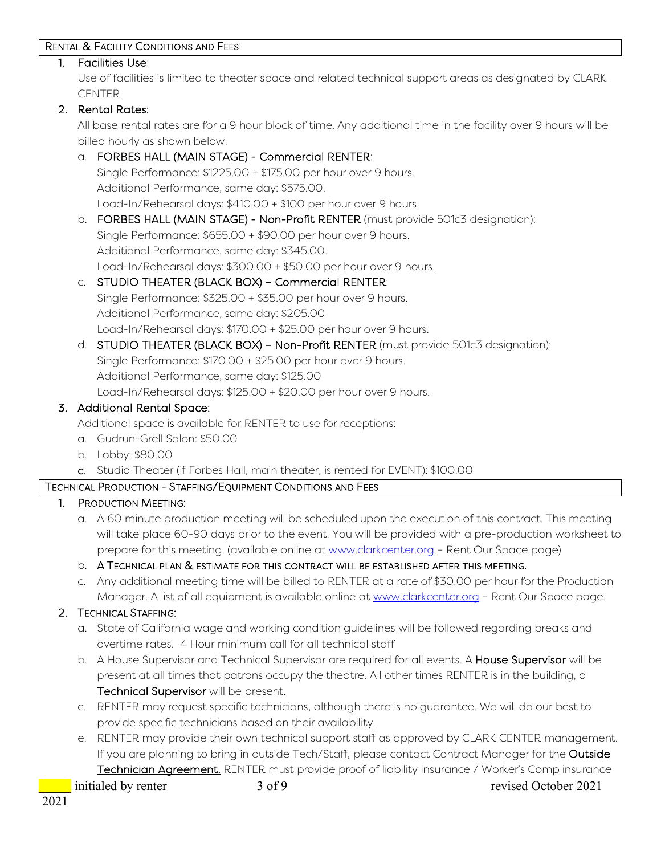#### RENTAL & FACILITY CONDITIONS AND FEES

#### 1. Facilities Use:

Use of facilities is limited to theater space and related technical support areas as designated by CLARK CENTER.

#### 2. Rental Rates:

All base rental rates are for a 9 hour block of time. Any additional time in the facility over 9 hours will be billed hourly as shown below.

# a. FORBES HALL (MAIN STAGE) - Commercial RENTER:

Single Performance: \$1225.00 + \$175.00 per hour over 9 hours. Additional Performance, same day: \$575.00. Load-In/Rehearsal days: \$410.00 + \$100 per hour over 9 hours.

b. FORBES HALL (MAIN STAGE) - Non-Profit RENTER (must provide 501c3 designation): Single Performance: \$655.00 + \$90.00 per hour over 9 hours. Additional Performance, same day: \$345.00. Load-In/Rehearsal days: \$300.00 + \$50.00 per hour over 9 hours.

## c. STUDIO THEATER (BLACK BOX) – Commercial RENTER:

Single Performance: \$325.00 + \$35.00 per hour over 9 hours. Additional Performance, same day: \$205.00 Load-In/Rehearsal days: \$170.00 + \$25.00 per hour over 9 hours.

d. STUDIO THEATER (BLACK BOX) – Non-Profit RENTER (must provide 501c3 designation): Single Performance: \$170.00 + \$25.00 per hour over 9 hours. Additional Performance, same day: \$125.00 Load-In/Rehearsal days: \$125.00 + \$20.00 per hour over 9 hours.

### 3. Additional Rental Space:

Additional space is available for RENTER to use for receptions:

- a. Gudrun-Grell Salon: \$50.00
- b. Lobby: \$80.00
- c. Studio Theater (if Forbes Hall, main theater, is rented for EVENT): \$100.00

### TECHNICAL PRODUCTION - STAFFING/EQUIPMENT CONDITIONS AND FEES

#### 1. PRODUCTION MEETING:

a. A 60 minute production meeting will be scheduled upon the execution of this contract. This meeting will take place 60-90 days prior to the event. You will be provided with a pre-production worksheet to prepare for this meeting. (available online at [www.clarkcenter.org](http://www.clarkcenter.org/) – Rent Our Space page)

#### b. A TECHNICAL PLAN & ESTIMATE FOR THIS CONTRACT WILL BE ESTABLISHED AFTER THIS MEETING.

c. Any additional meeting time will be billed to RENTER at a rate of \$30.00 per hour for the Production Manager. A list of all equipment is available online at [www.clarkcenter.org](http://www.clarkcenter.org/) - Rent Our Space page.

### 2. TECHNICAL STAFFING:

- a. State of California wage and working condition guidelines will be followed regarding breaks and overtime rates. 4 Hour minimum call for all technical staff
- b. A House Supervisor and Technical Supervisor are required for all events. A House Supervisor will be present at all times that patrons occupy the theatre. All other times RENTER is in the building, a Technical Supervisor will be present.
- c. RENTER may request specific technicians, although there is no guarantee. We will do our best to provide specific technicians based on their availability.
- e. RENTER may provide their own technical support staff as approved by CLARK CENTER management. If you are planning to bring in outside Tech/Staff, please contact Contract Manager for the **Outside** Technician Agreement. RENTER must provide proof of liability insurance / Worker's Comp insurance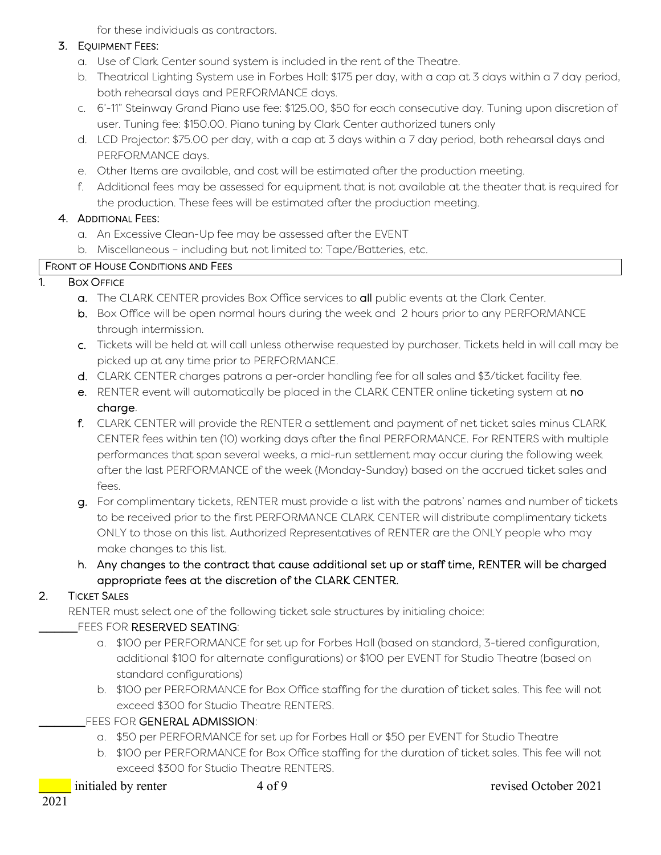for these individuals as contractors.

#### 3. EQUIPMENT FEES:

- a. Use of Clark Center sound system is included in the rent of the Theatre.
- b. Theatrical Lighting System use in Forbes Hall: \$175 per day, with a cap at 3 days within a 7 day period, both rehearsal days and PERFORMANCE days.
- c. 6'-11" Steinway Grand Piano use fee: \$125.00, \$50 for each consecutive day. Tuning upon discretion of user. Tuning fee: \$150.00. Piano tuning by Clark Center authorized tuners only
- d. LCD Projector: \$75.00 per day, with a cap at 3 days within a 7 day period, both rehearsal days and PERFORMANCE days.
- e. Other Items are available, and cost will be estimated after the production meeting.
- f. Additional fees may be assessed for equipment that is not available at the theater that is required for the production. These fees will be estimated after the production meeting.

### 4. ADDITIONAL FEES:

- a. An Excessive Clean-Up fee may be assessed after the EVENT
- b. Miscellaneous including but not limited to: Tape/Batteries, etc.

#### FRONT OF HOUSE CONDITIONS AND FEES

### 1. BOX OFFICE

- a. The CLARK CENTER provides Box Office services to all public events at the Clark Center.
- b. Box Office will be open normal hours during the week and 2 hours prior to any PERFORMANCE through intermission.
- c. Tickets will be held at will call unless otherwise requested by purchaser. Tickets held in will call may be picked up at any time prior to PERFORMANCE.
- d. CLARK CENTER charges patrons a per-order handling fee for all sales and \$3/ticket facility fee.
- e. RENTER event will automatically be placed in the CLARK CENTER online ticketing system at no charge.
- f. CLARK CENTER will provide the RENTER a settlement and payment of net ticket sales minus CLARK CENTER fees within ten (10) working days after the final PERFORMANCE. For RENTERS with multiple performances that span several weeks, a mid-run settlement may occur during the following week after the last PERFORMANCE of the week (Monday-Sunday) based on the accrued ticket sales and fees.
- g. For complimentary tickets, RENTER must provide a list with the patrons' names and number of tickets to be received prior to the first PERFORMANCE CLARK CENTER will distribute complimentary tickets ONLY to those on this list. Authorized Representatives of RENTER are the ONLY people who may make changes to this list.
- h. Any changes to the contract that cause additional set up or staff time, RENTER will be charged appropriate fees at the discretion of the CLARK CENTER.

### 2. TICKET SALES

RENTER must select one of the following ticket sale structures by initialing choice:

### FEES FOR RESERVED SEATING:

- a. \$100 per PERFORMANCE for set up for Forbes Hall (based on standard, 3-tiered configuration, additional \$100 for alternate configurations) or \$100 per EVENT for Studio Theatre (based on standard configurations)
- b. \$100 per PERFORMANCE for Box Office staffing for the duration of ticket sales. This fee will not exceed \$300 for Studio Theatre RENTERS.
- FEES FOR GENERAL ADMISSION:
	- a. \$50 per PERFORMANCE for set up for Forbes Hall or \$50 per EVENT for Studio Theatre
	- b. \$100 per PERFORMANCE for Box Office staffing for the duration of ticket sales. This fee will not exceed \$300 for Studio Theatre RENTERS.
-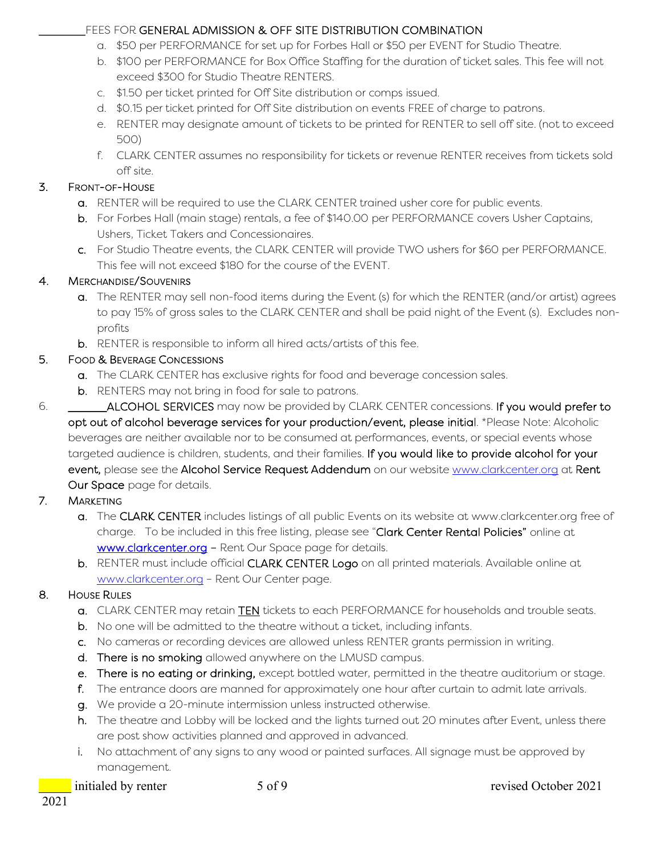## \_\_\_\_\_\_FEES FOR GENERAL ADMISSION & OFF SITE DISTRIBUTION COMBINATION

- a. \$50 per PERFORMANCE for set up for Forbes Hall or \$50 per EVENT for Studio Theatre.
- b. \$100 per PERFORMANCE for Box Office Staffing for the duration of ticket sales. This fee will not exceed \$300 for Studio Theatre RENTERS.
- c. \$1.50 per ticket printed for Off Site distribution or comps issued.
- d. \$0.15 per ticket printed for Off Site distribution on events FREE of charge to patrons.
- e. RENTER may designate amount of tickets to be printed for RENTER to sell off site. (not to exceed 500)
- f. CLARK CENTER assumes no responsibility for tickets or revenue RENTER receives from tickets sold off site.

## 3. FRONT-OF-HOUSE

- a. RENTER will be required to use the CLARK CENTER trained usher core for public events.
- b. For Forbes Hall (main stage) rentals, a fee of \$140.00 per PERFORMANCE covers Usher Captains, Ushers, Ticket Takers and Concessionaires.
- c. For Studio Theatre events, the CLARK CENTER will provide TWO ushers for \$60 per PERFORMANCE. This fee will not exceed \$180 for the course of the EVENT.

## 4. MERCHANDISE/SOUVENIRS

- a. The RENTER may sell non-food items during the Event (s) for which the RENTER (and/or artist) agrees to pay 15% of gross sales to the CLARK CENTER and shall be paid night of the Event (s). Excludes nonprofits
- b. RENTER is responsible to inform all hired acts/artists of this fee.

## 5. FOOD & BEVERAGE CONCESSIONS

- a. The CLARK CENTER has exclusive rights for food and beverage concession sales.
- b. RENTERS may not bring in food for sale to patrons.
- 6. \_\_\_\_\_ALCOHOL SERVICES may now be provided by CLARK CENTER concessions. If you would prefer to opt out of alcohol beverage services for your production/event, please initial. \*Please Note: Alcoholic beverages are neither available nor to be consumed at performances, events, or special events whose targeted audience is children, students, and their families. If you would like to provide alcohol for your event, please see the Alcohol Service Request Addendum on our website [www.clarkcenter.org](http://www.clarkcenter.org/) at Rent Our Space page for details.

## 7. MARKETING

- a. The CLARK CENTER includes listings of all public Events on its website at www.clarkcenter.org free of charge. To be included in this free listing, please see "Clark Center Rental Policies" online at [www.clarkcenter.org](http://www.clarkcenter.org/) - Rent Our Space page for details.
- b. RENTER must include official CLARK CENTER Logo on all printed materials. Available online at [www.clarkcenter.org](http://www.clarkcenter.org/) – Rent Our Center page.

## 8. HOUSE RULES

- a. CLARK CENTER may retain TEN tickets to each PERFORMANCE for households and trouble seats.
- b. No one will be admitted to the theatre without a ticket, including infants.
- c. No cameras or recording devices are allowed unless RENTER grants permission in writing.
- d. There is no smoking allowed anywhere on the LMUSD campus.
- e. There is no eating or drinking, except bottled water, permitted in the theatre auditorium or stage.
- f. The entrance doors are manned for approximately one hour after curtain to admit late arrivals.
- g. We provide a 20-minute intermission unless instructed otherwise.
- h. The theatre and Lobby will be locked and the lights turned out 20 minutes after Event, unless there are post show activities planned and approved in advanced.
- i. No attachment of any signs to any wood or painted surfaces. All signage must be approved by management.
-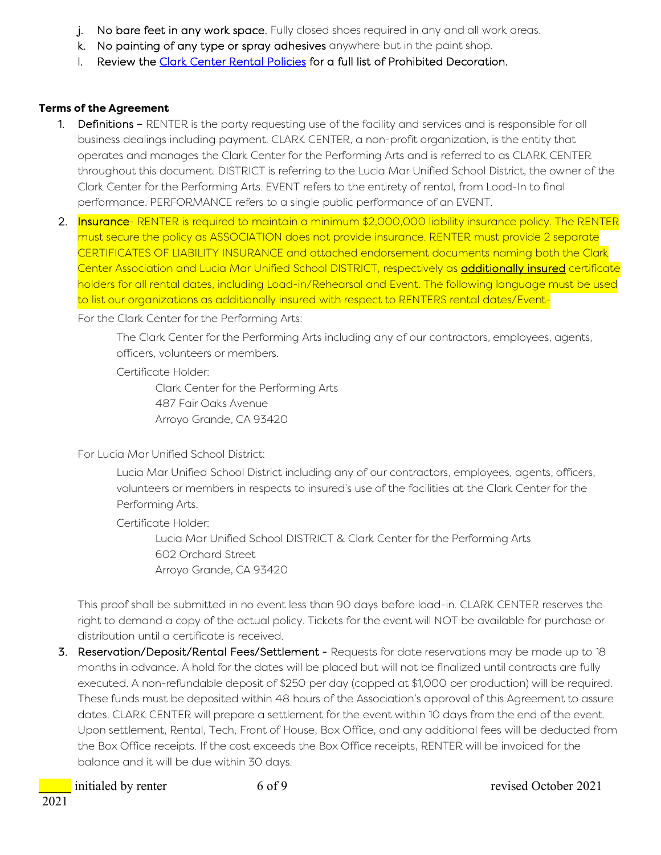- j. No bare feet in any work space. Fully closed shoes required in any and all work areas.
- k. No painting of any type or spray adhesives anywhere but in the paint shop.
- l. Review the [Clark Center Rental Policies](https://clarkcenter.org/wp-content/uploads/2021/03/Clark-Center-Rental-Policies-February-2022.pdf) for a full list of Prohibited Decoration.

### **Terms of the Agreement**

- 1. Definitions RENTER is the party requesting use of the facility and services and is responsible for all business dealings including payment. CLARK CENTER, a non-profit organization, is the entity that operates and manages the Clark Center for the Performing Arts and is referred to as CLARK CENTER throughout this document. DISTRICT is referring to the Lucia Mar Unified School District, the owner of the Clark Center for the Performing Arts. EVENT refers to the entirety of rental, from Load-In to final performance. PERFORMANCE refers to a single public performance of an EVENT.
- 2. Insurance- RENTER is required to maintain a minimum \$2,000,000 liability insurance policy. The RENTER must secure the policy as ASSOCIATION does not provide insurance. RENTER must provide 2 separate CERTIFICATES OF LIABILITY INSURANCE and attached endorsement documents naming both the Clark Center Association and Lucia Mar Unified School DISTRICT, respectively as additionally insured certificate holders for all rental dates, including Load-in/Rehearsal and Event. The following language must be used to list our organizations as additionally insured with respect to RENTERS rental dates/Event-

For the Clark Center for the Performing Arts:

The Clark Center for the Performing Arts including any of our contractors, employees, agents, officers, volunteers or members.

Certificate Holder:

Clark Center for the Performing Arts 487 Fair Oaks Avenue Arroyo Grande, CA 93420

For Lucia Mar Unified School District:

Lucia Mar Unified School District including any of our contractors, employees, agents, officers, volunteers or members in respects to insured's use of the facilities at the Clark Center for the Performing Arts.

Certificate Holder:

Lucia Mar Unified School DISTRICT & Clark Center for the Performing Arts 602 Orchard Street Arroyo Grande, CA 93420

This proof shall be submitted in no event less than 90 days before load-in. CLARK CENTER reserves the right to demand a copy of the actual policy. Tickets for the event will NOT be available for purchase or distribution until a certificate is received.

3. Reservation/Deposit/Rental Fees/Settlement - Requests for date reservations may be made up to 18 months in advance. A hold for the dates will be placed but will not be finalized until contracts are fully executed. A non-refundable deposit of \$250 per day (capped at \$1,000 per production) will be required. These funds must be deposited within 48 hours of the Association's approval of this Agreement to assure dates. CLARK CENTER will prepare a settlement for the event within 10 days from the end of the event. Upon settlement, Rental, Tech, Front of House, Box Office, and any additional fees will be deducted from the Box Office receipts. If the cost exceeds the Box Office receipts, RENTER will be invoiced for the balance and it will be due within 30 days.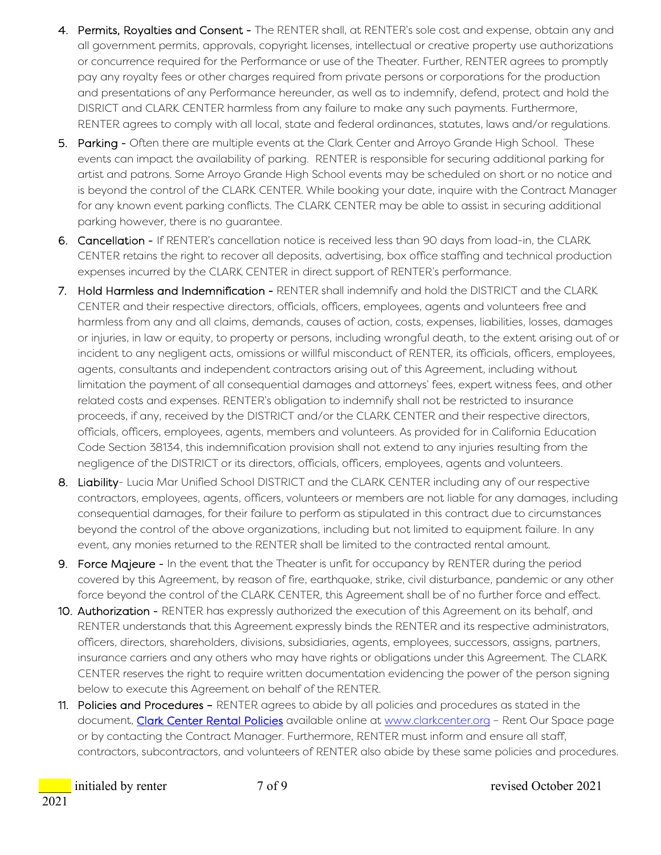- 4. Permits, Royalties and Consent The RENTER shall, at RENTER's sole cost and expense, obtain any and all government permits, approvals, copyright licenses, intellectual or creative property use authorizations or concurrence required for the Performance or use of the Theater. Further, RENTER agrees to promptly pay any royalty fees or other charges required from private persons or corporations for the production and presentations of any Performance hereunder, as well as to indemnify, defend, protect and hold the DISRICT and CLARK CENTER harmless from any failure to make any such payments. Furthermore, RENTER agrees to comply with all local, state and federal ordinances, statutes, laws and/or regulations.
- 5. Parking Often there are multiple events at the Clark Center and Arroyo Grande High School. These events can impact the availability of parking. RENTER is responsible for securing additional parking for artist and patrons. Some Arroyo Grande High School events may be scheduled on short or no notice and is beyond the control of the CLARK CENTER. While booking your date, inquire with the Contract Manager for any known event parking conflicts. The CLARK CENTER may be able to assist in securing additional parking however, there is no guarantee.
- 6. Cancellation If RENTER's cancellation notice is received less than 90 days from load-in, the CLARK CENTER retains the right to recover all deposits, advertising, box office staffing and technical production expenses incurred by the CLARK CENTER in direct support of RENTER's performance.
- 7. Hold Harmless and Indemnification RENTER shall indemnify and hold the DISTRICT and the CLARK CENTER and their respective directors, officials, officers, employees, agents and volunteers free and harmless from any and all claims, demands, causes of action, costs, expenses, liabilities, losses, damages or injuries, in law or equity, to property or persons, including wrongful death, to the extent arising out of or incident to any negligent acts, omissions or willful misconduct of RENTER, its officials, officers, employees, agents, consultants and independent contractors arising out of this Agreement, including without limitation the payment of all consequential damages and attorneys' fees, expert witness fees, and other related costs and expenses. RENTER's obligation to indemnify shall not be restricted to insurance proceeds, if any, received by the DISTRICT and/or the CLARK CENTER and their respective directors, officials, officers, employees, agents, members and volunteers. As provided for in California Education Code Section 38134, this indemnification provision shall not extend to any injuries resulting from the negligence of the DISTRICT or its directors, officials, officers, employees, agents and volunteers.
- 8. Liability- Lucia Mar Unified School DISTRICT and the CLARK CENTER including any of our respective contractors, employees, agents, officers, volunteers or members are not liable for any damages, including consequential damages, for their failure to perform as stipulated in this contract due to circumstances beyond the control of the above organizations, including but not limited to equipment failure. In any event, any monies returned to the RENTER shall be limited to the contracted rental amount.
- 9. Force Majeure In the event that the Theater is unfit for occupancy by RENTER during the period covered by this Agreement, by reason of fire, earthquake, strike, civil disturbance, pandemic or any other force beyond the control of the CLARK CENTER, this Agreement shall be of no further force and effect.
- 10. Authorization RENTER has expressly authorized the execution of this Agreement on its behalf, and RENTER understands that this Agreement expressly binds the RENTER and its respective administrators, officers, directors, shareholders, divisions, subsidiaries, agents, employees, successors, assigns, partners, insurance carriers and any others who may have rights or obligations under this Agreement. The CLARK CENTER reserves the right to require written documentation evidencing the power of the person signing below to execute this Agreement on behalf of the RENTER.
- 11. Policies and Procedures RENTER agrees to abide by all policies and procedures as stated in the document, [Clark Center Rental Policies](https://clarkcenter.org/wp-content/uploads/2021/03/Clark-Center-Rental-Policies-February-2022.pdf) available online at [www.clarkcenter.org](http://www.clarkcenter.org/) - Rent Our Space page or by contacting the Contract Manager. Furthermore, RENTER must inform and ensure all staff, contractors, subcontractors, and volunteers of RENTER also abide by these same policies and procedures.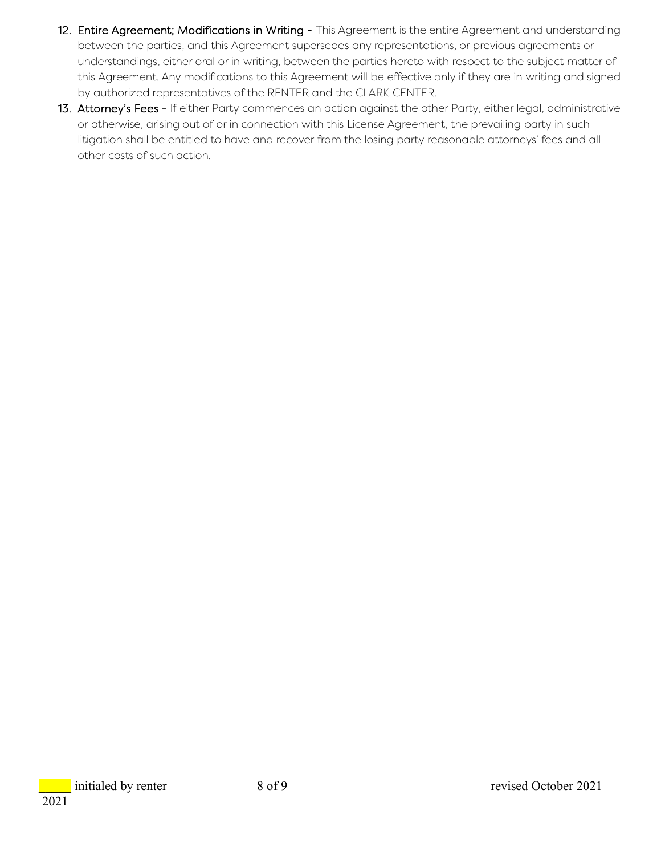- 12. Entire Agreement; Modifications in Writing This Agreement is the entire Agreement and understanding between the parties, and this Agreement supersedes any representations, or previous agreements or understandings, either oral or in writing, between the parties hereto with respect to the subject matter of this Agreement. Any modifications to this Agreement will be effective only if they are in writing and signed by authorized representatives of the RENTER and the CLARK CENTER.
- 13. Attorney's Fees If either Party commences an action against the other Party, either legal, administrative or otherwise, arising out of or in connection with this License Agreement, the prevailing party in such litigation shall be entitled to have and recover from the losing party reasonable attorneys' fees and all other costs of such action.